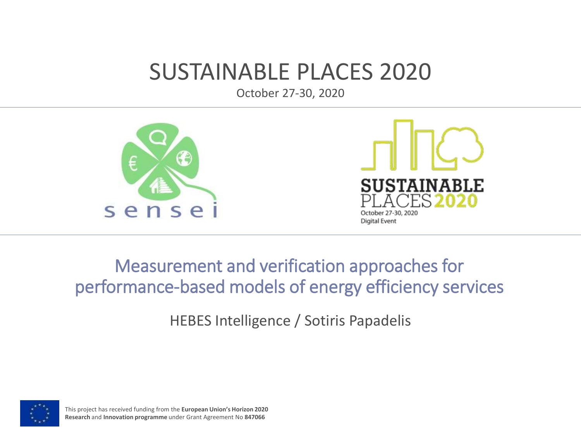#### SUSTAINABLE PLACES 2020

October 27-30, 2020





#### Measurement and verification approaches for performance-based models of energy efficiency services

HEBES Intelligence / Sotiris Papadelis



This project has received funding from the **European Union's Horizon 2020 Research** and **Innovation programme** under Grant Agreement No **847066**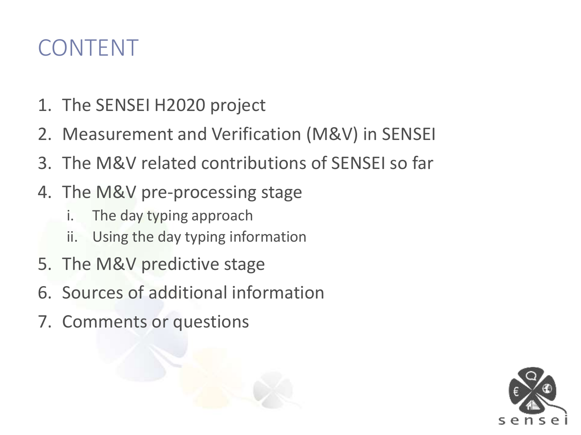#### CONTENT

- 1. The SENSEI H2020 project
- 2. Measurement and Verification (M&V) in SENSEI
- 3. The M&V related contributions of SENSEI so far
- 4. The M&V pre-processing stage
	- i. The day typing approach
	- ii. Using the day typing information
- 5. The M&V predictive stage
- 6. Sources of additional information
- 7. Comments or questions

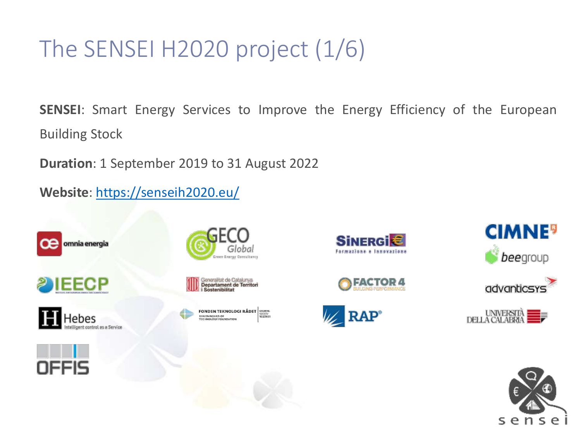# The SENSEI H2020 project (1/6)

**SENSEI**: Smart Energy Services to Improve the Energy Efficiency of the European Building Stock

**Duration**: 1 September 2019 to 31 August 2022

**Website**:<https://senseih2020.eu/>











FONDEN TEKNOLOGI RÅDET SIGNER **DANISH ROARD OF<br>TECHNOLOGY FOUNDATION** 















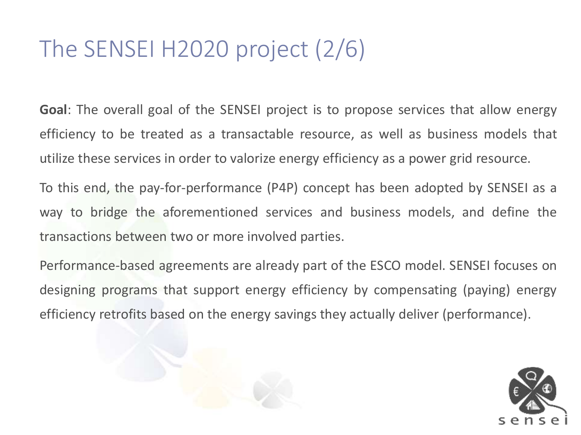#### The SENSEI H2020 project (2/6)

**Goal**: The overall goal of the SENSEI project is to propose services that allow energy efficiency to be treated as a transactable resource, as well as business models that utilize these services in order to valorize energy efficiency as a power grid resource.

To this end, the pay-for-performance (P4P) concept has been adopted by SENSEI as a way to bridge the aforementioned services and business models, and define the transactions between two or more involved parties.

Performance-based agreements are already part of the ESCO model. SENSEI focuses on designing programs that support energy efficiency by compensating (paying) energy efficiency retrofits based on the energy savings they actually deliver (performance).

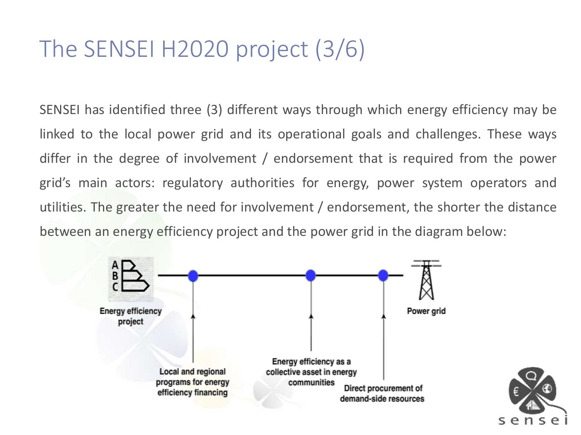#### The SENSEI H2020 project (3/6)

SENSEI has identified three (3) different ways through which energy efficiency may be linked to the local power grid and its operational goals and challenges. These ways differ in the degree of involvement / endorsement that is required from the power grid's main actors: regulatory authorities for energy, power system operators and utilities. The greater the need for involvement / endorsement, the shorter the distance between an energy efficiency project and the power grid in the diagram below:



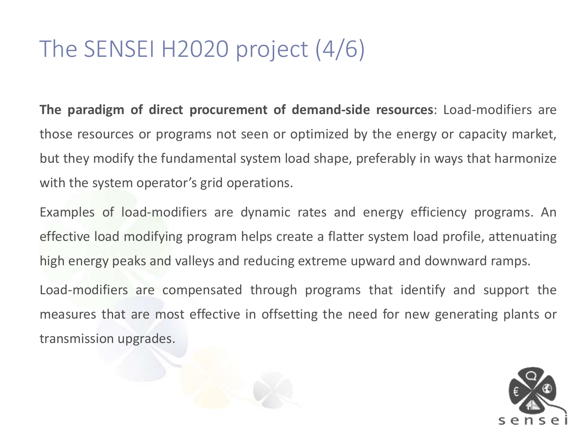#### The SENSEI H2020 project (4/6)

**The paradigm of direct procurement of demand-side resources**: Load-modifiers are those resources or programs not seen or optimized by the energy or capacity market, but they modify the fundamental system load shape, preferably in ways that harmonize with the system operator's grid operations.

Examples of load-modifiers are dynamic rates and energy efficiency programs. An effective load modifying program helps create a flatter system load profile, attenuating high energy peaks and valleys and reducing extreme upward and downward ramps.

Load-modifiers are compensated through programs that identify and support the measures that are most effective in offsetting the need for new generating plants or transmission upgrades.

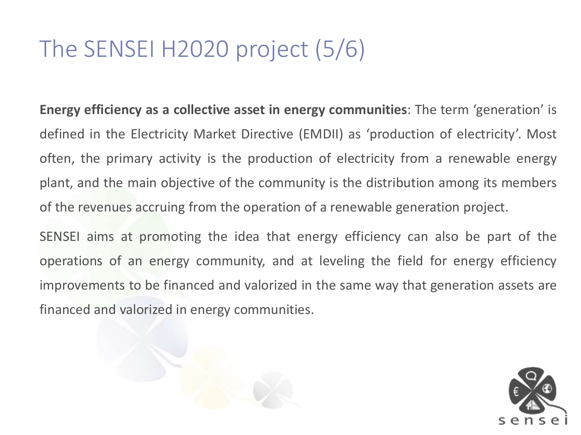#### The SENSEI H2020 project (5/6)

**Energy efficiency as a collective asset in energy communities**: The term 'generation' is defined in the Electricity Market Directive (EMDII) as 'production of electricity'. Most often, the primary activity is the production of electricity from a renewable energy plant, and the main objective of the community is the distribution among its members of the revenues accruing from the operation of a renewable generation project.

SENSEI aims at promoting the idea that energy efficiency can also be part of the operations of an energy community, and at leveling the field for energy efficiency improvements to be financed and valorized in the same way that generation assets are financed and valorized in energy communities.



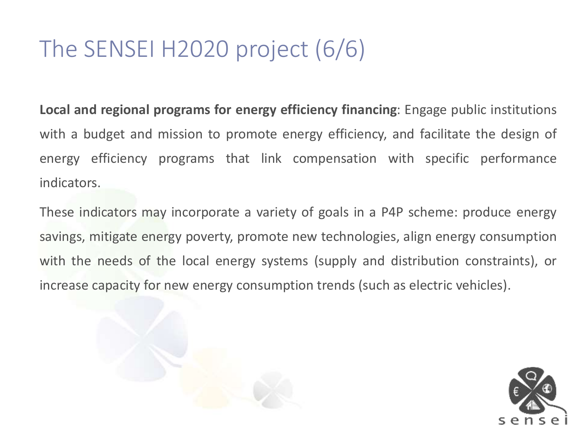#### The SENSEI H2020 project (6/6)

**Local and regional programs for energy efficiency financing**: Engage public institutions with a budget and mission to promote energy efficiency, and facilitate the design of energy efficiency programs that link compensation with specific performance indicators.

These indicators may incorporate a variety of goals in a P4P scheme: produce energy savings, mitigate energy poverty, promote new technologies, align energy consumption with the needs of the local energy systems (supply and distribution constraints), or increase capacity for new energy consumption trends (such as electric vehicles).

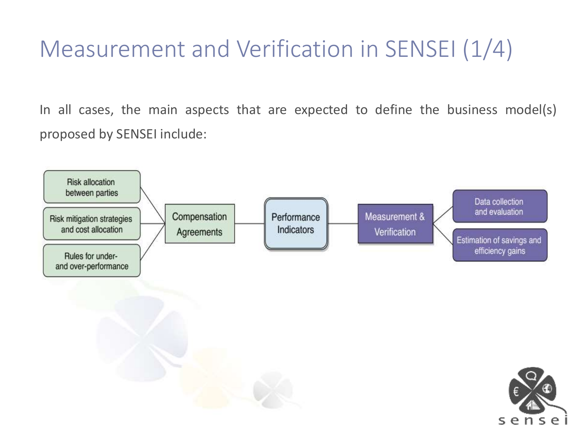# Measurement and Verification in SENSEI (1/4)

In all cases, the main aspects that are expected to define the business model(s) proposed by SENSEI include:

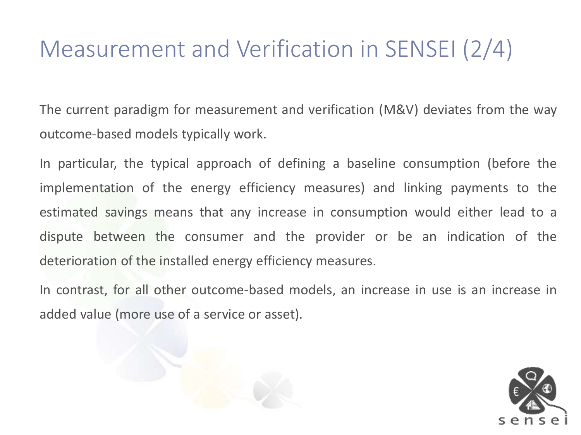### Measurement and Verification in SENSEI (2/4)

The current paradigm for measurement and verification (M&V) deviates from the way outcome-based models typically work.

In particular, the typical approach of defining a baseline consumption (before the implementation of the energy efficiency measures) and linking payments to the estimated savings means that any increase in consumption would either lead to a dispute between the consumer and the provider or be an indication of the deterioration of the installed energy efficiency measures.

In contrast, for all other outcome-based models, an increase in use is an increase in added value (more use of a service or asset).

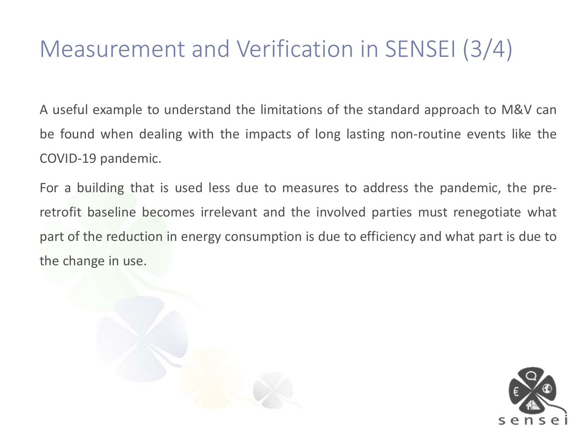#### Measurement and Verification in SENSEI (3/4)

A useful example to understand the limitations of the standard approach to M&V can be found when dealing with the impacts of long lasting non-routine events like the COVID-19 pandemic.

For a building that is used less due to measures to address the pandemic, the preretrofit baseline becomes irrelevant and the involved parties must renegotiate what part of the reduction in energy consumption is due to efficiency and what part is due to the change in use.



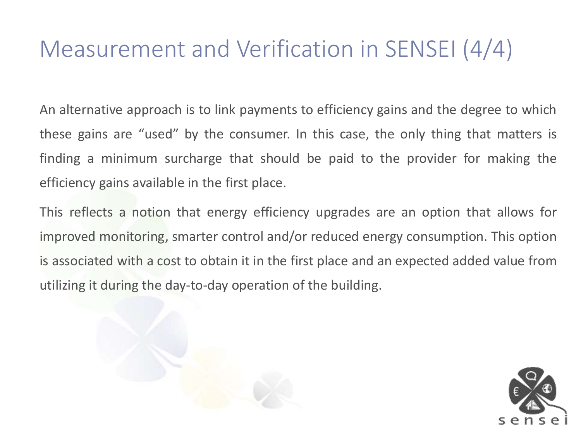#### Measurement and Verification in SENSEI (4/4)

An alternative approach is to link payments to efficiency gains and the degree to which these gains are "used" by the consumer. In this case, the only thing that matters is finding a minimum surcharge that should be paid to the provider for making the efficiency gains available in the first place.

This reflects a notion that energy efficiency upgrades are an option that allows for improved monitoring, smarter control and/or reduced energy consumption. This option is associated with a cost to obtain it in the first place and an expected added value from utilizing it during the day-to-day operation of the building.

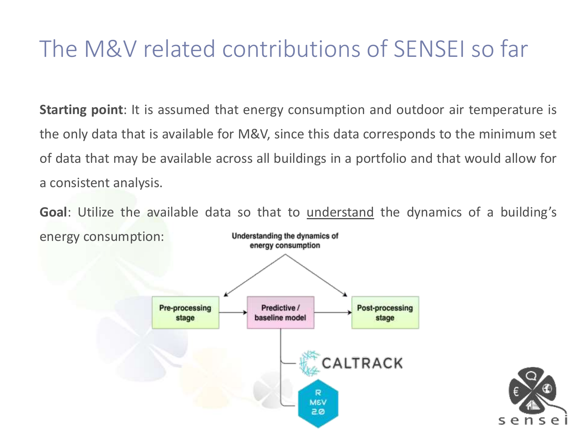#### The M&V related contributions of SENSEI so far

**Starting point**: It is assumed that energy consumption and outdoor air temperature is the only data that is available for M&V, since this data corresponds to the minimum set of data that may be available across all buildings in a portfolio and that would allow for a consistent analysis.

**Goal**: Utilize the available data so that to understand the dynamics of a building's energy consumption:Understanding the dynamics of energy consumption



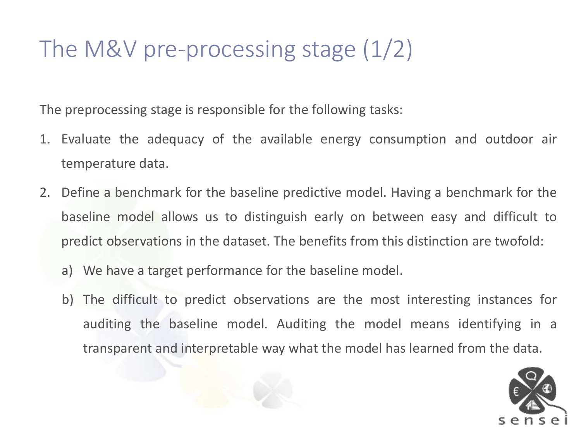#### The M&V pre-processing stage (1/2)

The preprocessing stage is responsible for the following tasks:

- 1. Evaluate the adequacy of the available energy consumption and outdoor air temperature data.
- 2. Define a benchmark for the baseline predictive model. Having a benchmark for the baseline model allows us to distinguish early on between easy and difficult to predict observations in the dataset. The benefits from this distinction are twofold:
	- a) We have a target performance for the baseline model.
	- b) The difficult to predict observations are the most interesting instances for auditing the baseline model. Auditing the model means identifying in a transparent and interpretable way what the model has learned from the data.

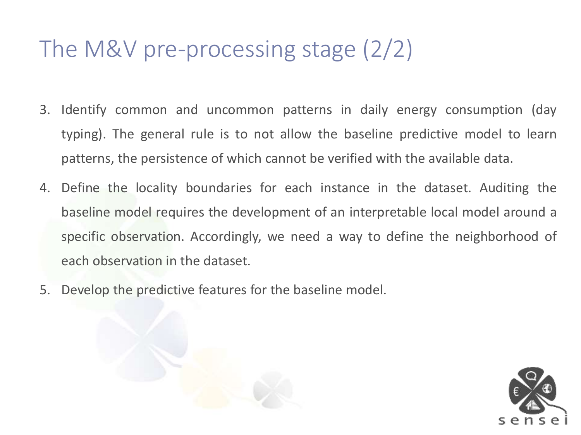#### The M&V pre-processing stage (2/2)

- 3. Identify common and uncommon patterns in daily energy consumption (day typing). The general rule is to not allow the baseline predictive model to learn patterns, the persistence of which cannot be verified with the available data.
- 4. Define the locality boundaries for each instance in the dataset. Auditing the baseline model requires the development of an interpretable local model around a specific observation. Accordingly, we need a way to define the neighborhood of each observation in the dataset.
- 5. Develop the predictive features for the baseline model.

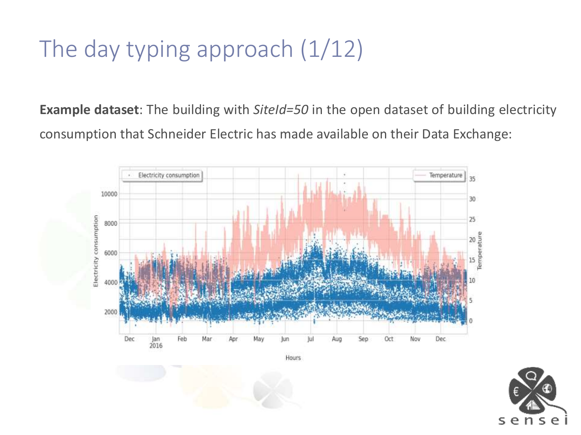# The day typing approach (1/12)

**Example dataset**: The building with *SiteId=50* in the open dataset of building electricity consumption that Schneider Electric has made available on their Data Exchange:





Hours

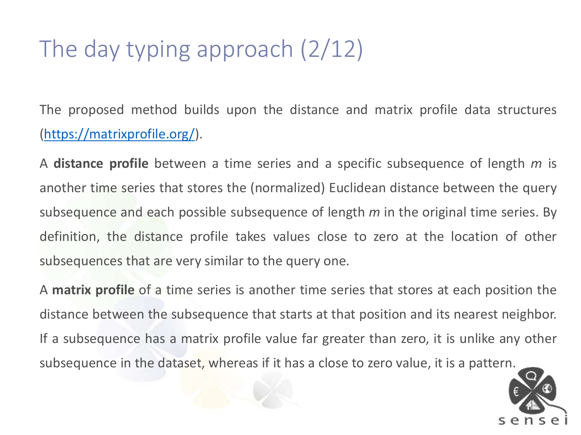# The day typing approach (2/12)

The proposed method builds upon the distance and matrix profile data structures [\(https://matrixprofile.org/\)](https://matrixprofile.org/).

A **distance profile** between a time series and a specific subsequence of length *m* is another time series that stores the (normalized) Euclidean distance between the query subsequence and each possible subsequence of length *m* in the original time series. By definition, the distance profile takes values close to zero at the location of other subsequences that are very similar to the query one.

A **matrix profile** of a time series is another time series that stores at each position the distance between the subsequence that starts at that position and its nearest neighbor. If a subsequence has a matrix profile value far greater than zero, it is unlike any other subsequence in the dataset, whereas if it has a close to zero value, it is a pattern.

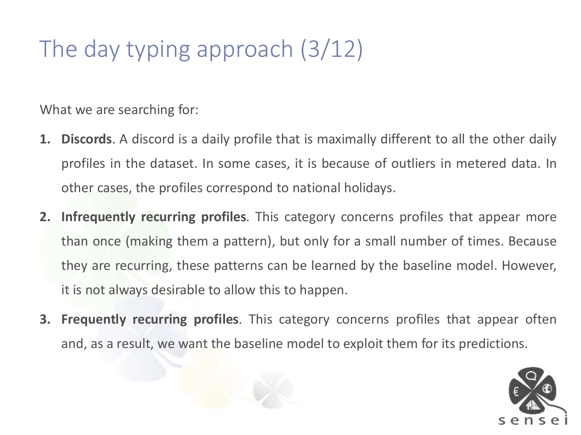# The day typing approach (3/12)

What we are searching for:

- **1. Discords**. A discord is a daily profile that is maximally different to all the other daily profiles in the dataset. In some cases, it is because of outliers in metered data. In other cases, the profiles correspond to national holidays.
- **2. Infrequently recurring profiles**. This category concerns profiles that appear more than once (making them a pattern), but only for a small number of times. Because they are recurring, these patterns can be learned by the baseline model. However, it is not always desirable to allow this to happen.
- **3. Frequently recurring profiles**. This category concerns profiles that appear often and, as a result, we want the baseline model to exploit them for its predictions.

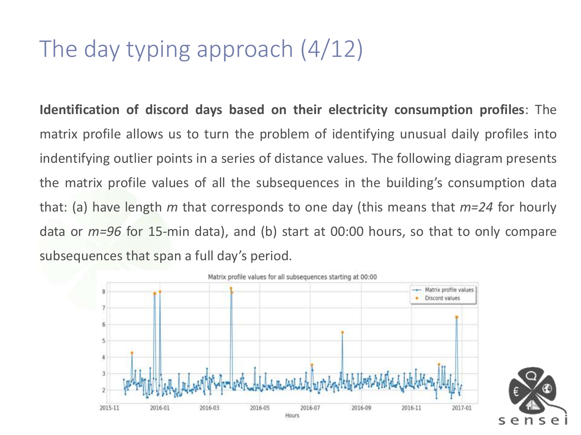## The day typing approach (4/12)

**Identification of discord days based on their electricity consumption profiles**: The matrix profile allows us to turn the problem of identifying unusual daily profiles into indentifying outlier points in a series of distance values. The following diagram presents the matrix profile values of all the subsequences in the building's consumption data that: (a) have length *m* that corresponds to one day (this means that *m=24* for hourly data or *m=96* for 15-min data), and (b) start at 00:00 hours, so that to only compare subsequences that span a full day's period.



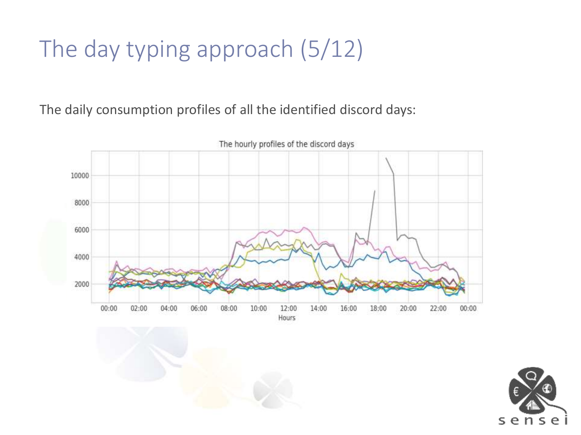# The day typing approach (5/12)

The daily consumption profiles of all the identified discord days:



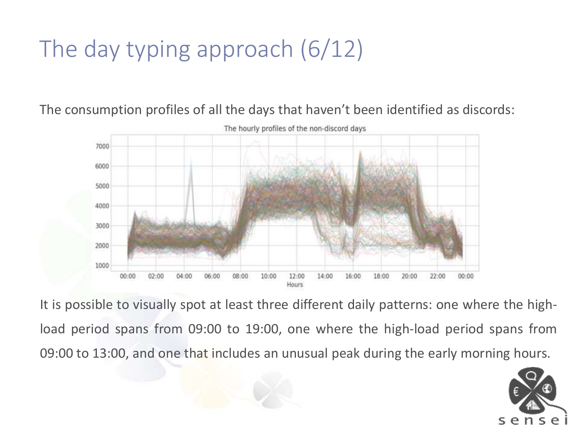# The day typing approach (6/12)

The consumption profiles of all the days that haven't been identified as discords:



It is possible to visually spot at least three different daily patterns: one where the highload period spans from 09:00 to 19:00, one where the high-load period spans from 09:00 to 13:00, and one that includes an unusual peak during the early morning hours.

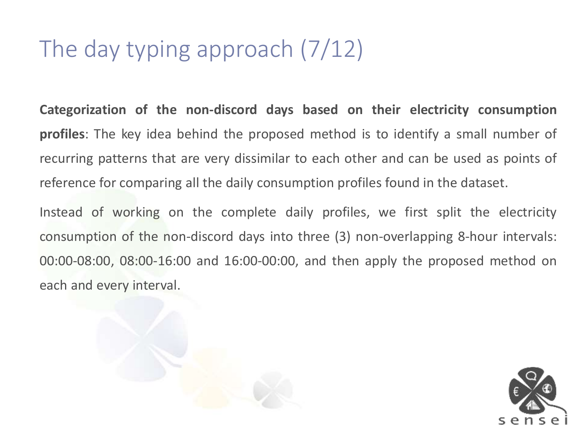# The day typing approach (7/12)

**Categorization of the non-discord days based on their electricity consumption profiles**: The key idea behind the proposed method is to identify a small number of recurring patterns that are very dissimilar to each other and can be used as points of reference for comparing all the daily consumption profiles found in the dataset.

Instead of working on the complete daily profiles, we first split the electricity consumption of the non-discord days into three (3) non-overlapping 8-hour intervals: 00:00-08:00, 08:00-16:00 and 16:00-00:00, and then apply the proposed method on each and every interval.



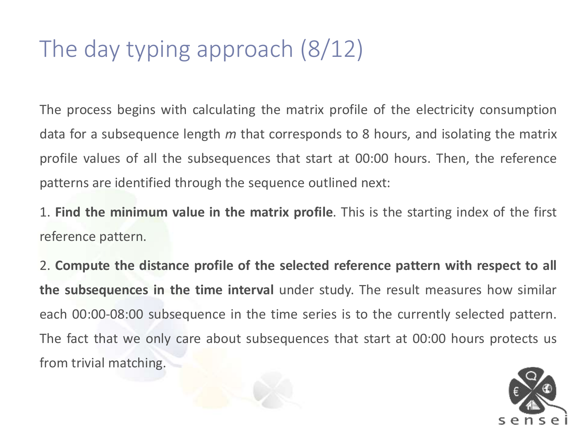# The day typing approach (8/12)

The process begins with calculating the matrix profile of the electricity consumption data for a subsequence length *m* that corresponds to 8 hours, and isolating the matrix profile values of all the subsequences that start at 00:00 hours. Then, the reference patterns are identified through the sequence outlined next:

1. **Find the minimum value in the matrix profile**. This is the starting index of the first reference pattern.

2. **Compute the distance profile of the selected reference pattern with respect to all the subsequences in the time interval** under study. The result measures how similar each 00:00-08:00 subsequence in the time series is to the currently selected pattern. The fact that we only care about subsequences that start at 00:00 hours protects us from trivial matching.

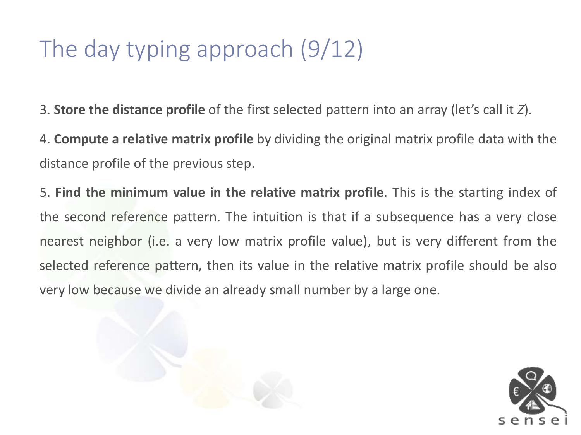## The day typing approach (9/12)

3. **Store the distance profile** of the first selected pattern into an array (let's call it *Z*).

4. **Compute a relative matrix profile** by dividing the original matrix profile data with the distance profile of the previous step.

5. **Find the minimum value in the relative matrix profile**. This is the starting index of the second reference pattern. The intuition is that if a subsequence has a very close nearest neighbor (i.e. a very low matrix profile value), but is very different from the selected reference pattern, then its value in the relative matrix profile should be also very low because we divide an already small number by a large one.



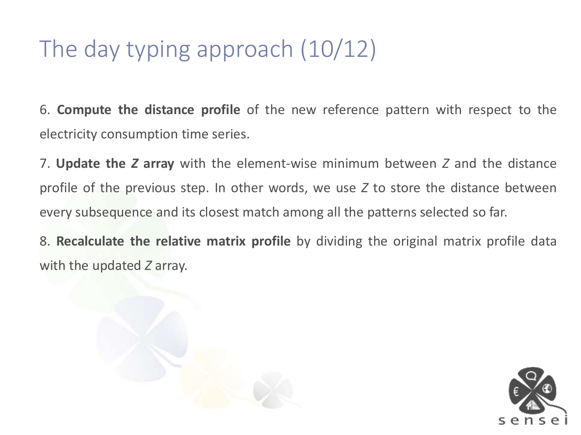# The day typing approach (10/12)

6. **Compute the distance profile** of the new reference pattern with respect to the electricity consumption time series.

7. **Update the** *Z* **array** with the element-wise minimum between *Z* and the distance profile of the previous step. In other words, we use *Z* to store the distance between every subsequence and its closest match among all the patterns selected so far.

8. **Recalculate the relative matrix profile** by dividing the original matrix profile data with the updated *Z* array.



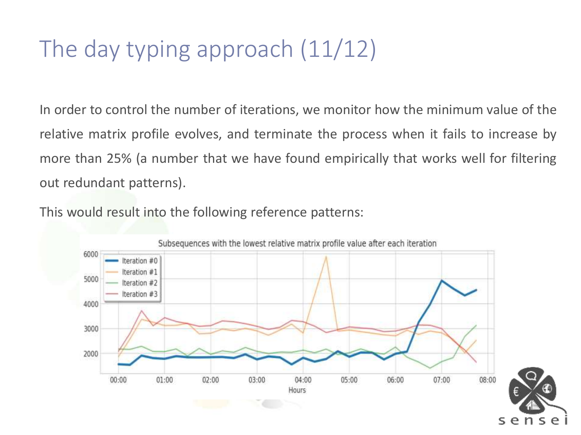# The day typing approach (11/12)

In order to control the number of iterations, we monitor how the minimum value of the relative matrix profile evolves, and terminate the process when it fails to increase by more than 25% (a number that we have found empirically that works well for filtering out redundant patterns).

This would result into the following reference patterns:

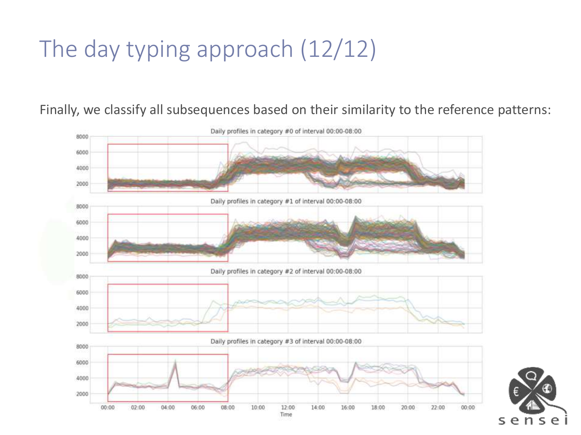# The day typing approach (12/12)

Finally, we classify all subsequences based on their similarity to the reference patterns:



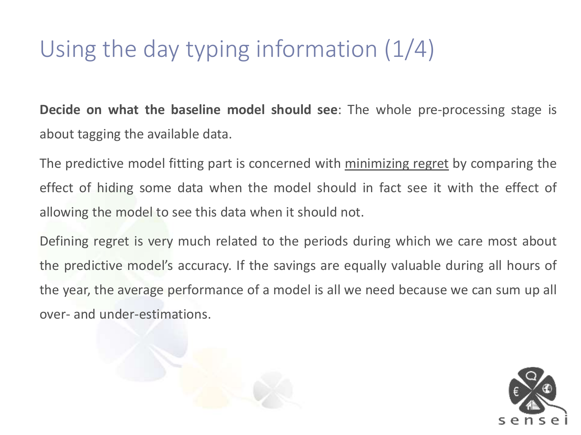# Using the day typing information (1/4)

**Decide on what the baseline model should see**: The whole pre-processing stage is about tagging the available data.

The predictive model fitting part is concerned with minimizing regret by comparing the effect of hiding some data when the model should in fact see it with the effect of allowing the model to see this data when it should not.

Defining regret is very much related to the periods during which we care most about the predictive model's accuracy. If the savings are equally valuable during all hours of the year, the average performance of a model is all we need because we can sum up all over- and under-estimations.



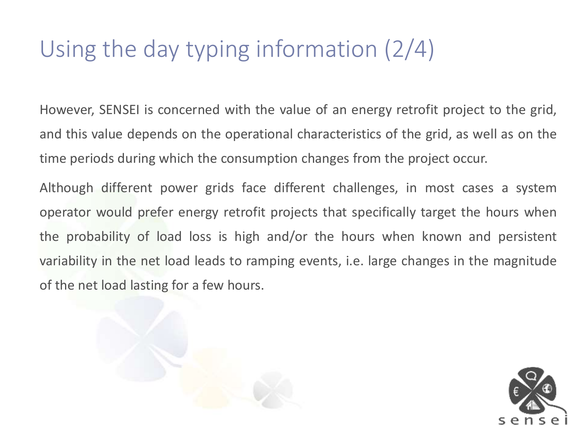# Using the day typing information (2/4)

However, SENSEI is concerned with the value of an energy retrofit project to the grid, and this value depends on the operational characteristics of the grid, as well as on the time periods during which the consumption changes from the project occur.

Although different power grids face different challenges, in most cases a system operator would prefer energy retrofit projects that specifically target the hours when the probability of load loss is high and/or the hours when known and persistent variability in the net load leads to ramping events, i.e. large changes in the magnitude of the net load lasting for a few hours.



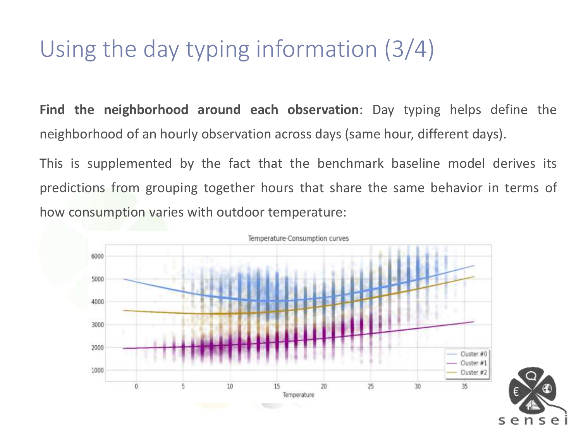# Using the day typing information (3/4)

**Find the neighborhood around each observation**: Day typing helps define the neighborhood of an hourly observation across days (same hour, different days).

This is supplemented by the fact that the benchmark baseline model derives its predictions from grouping together hours that share the same behavior in terms of how consumption varies with outdoor temperature:

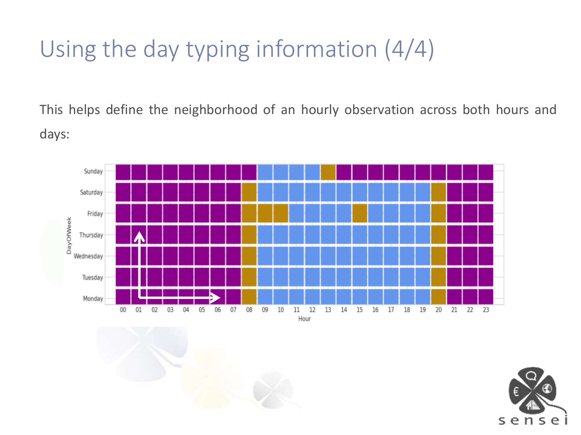# Using the day typing information (4/4)

This helps define the neighborhood of an hourly observation across both hours and days:



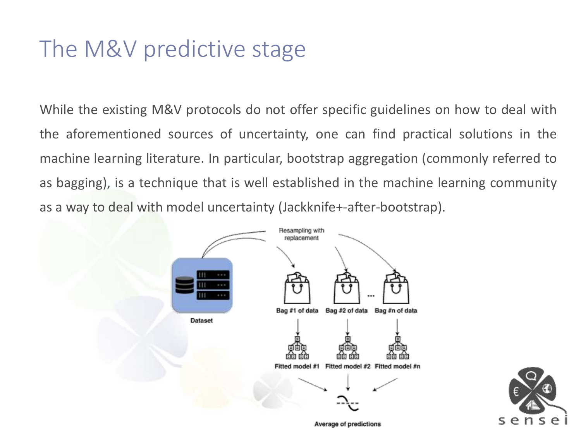#### The M&V predictive stage

While the existing M&V protocols do not offer specific guidelines on how to deal with the aforementioned sources of uncertainty, one can find practical solutions in the machine learning literature. In particular, bootstrap aggregation (commonly referred to as bagging), is a technique that is well established in the machine learning community as a way to deal with model uncertainty (Jackknife+-after-bootstrap).





**Average of predictions**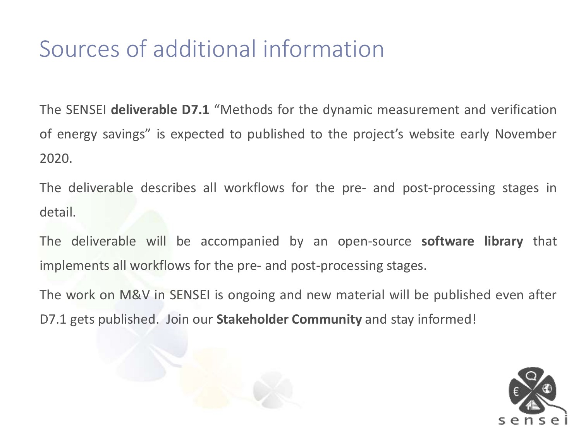#### Sources of additional information

The SENSEI **deliverable D7.1** "Methods for the dynamic measurement and verification of energy savings" is expected to published to the project's website early November 2020.

The deliverable describes all workflows for the pre- and post-processing stages in detail.

The deliverable will be accompanied by an open-source **software library** that implements all workflows for the pre- and post-processing stages.

The work on M&V in SENSEI is ongoing and new material will be published even after D7.1 gets published. Join our **Stakeholder Community** and stay informed!